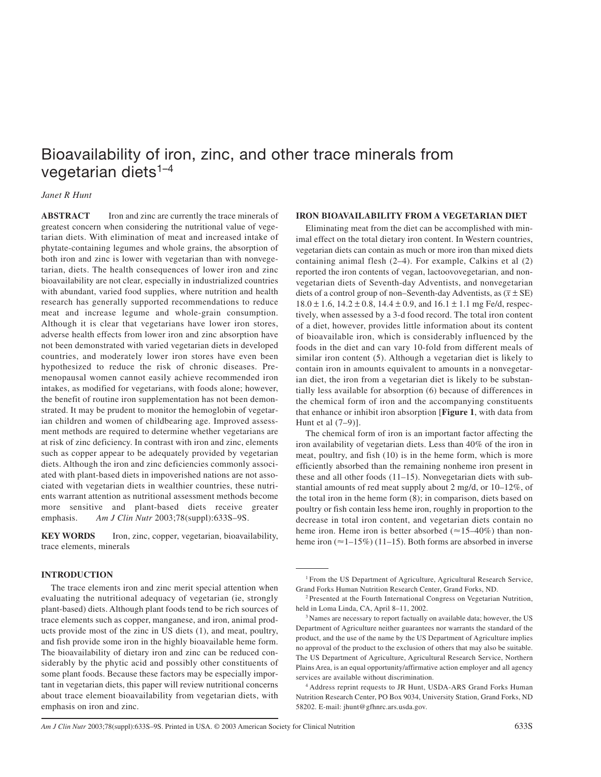# Bioavailability of iron, zinc, and other trace minerals from vegetarian diets<sup>1-4</sup>

## *Janet R Hunt*

**ABSTRACT** Iron and zinc are currently the trace minerals of greatest concern when considering the nutritional value of vegetarian diets. With elimination of meat and increased intake of phytate-containing legumes and whole grains, the absorption of both iron and zinc is lower with vegetarian than with nonvegetarian, diets. The health consequences of lower iron and zinc bioavailability are not clear, especially in industrialized countries with abundant, varied food supplies, where nutrition and health research has generally supported recommendations to reduce meat and increase legume and whole-grain consumption. Although it is clear that vegetarians have lower iron stores, adverse health effects from lower iron and zinc absorption have not been demonstrated with varied vegetarian diets in developed countries, and moderately lower iron stores have even been hypothesized to reduce the risk of chronic diseases. Premenopausal women cannot easily achieve recommended iron intakes, as modified for vegetarians, with foods alone; however, the benefit of routine iron supplementation has not been demonstrated. It may be prudent to monitor the hemoglobin of vegetarian children and women of childbearing age. Improved assessment methods are required to determine whether vegetarians are at risk of zinc deficiency. In contrast with iron and zinc, elements such as copper appear to be adequately provided by vegetarian diets. Although the iron and zinc deficiencies commonly associated with plant-based diets in impoverished nations are not associated with vegetarian diets in wealthier countries, these nutrients warrant attention as nutritional assessment methods become more sensitive and plant-based diets receive greater emphasis. *Am J Clin Nutr* 2003;78(suppl):633S–9S.

**KEY WORDS** Iron, zinc, copper, vegetarian, bioavailability, trace elements, minerals

## **INTRODUCTION**

The trace elements iron and zinc merit special attention when evaluating the nutritional adequacy of vegetarian (ie, strongly plant-based) diets. Although plant foods tend to be rich sources of trace elements such as copper, manganese, and iron, animal products provide most of the zinc in US diets (1), and meat, poultry, and fish provide some iron in the highly bioavailable heme form. The bioavailability of dietary iron and zinc can be reduced considerably by the phytic acid and possibly other constituents of some plant foods. Because these factors may be especially important in vegetarian diets, this paper will review nutritional concerns about trace element bioavailability from vegetarian diets, with emphasis on iron and zinc.

### **IRON BIOAVAILABILITY FROM A VEGETARIAN DIET**

Eliminating meat from the diet can be accomplished with minimal effect on the total dietary iron content. In Western countries, vegetarian diets can contain as much or more iron than mixed diets containing animal flesh (2–4). For example, Calkins et al (2) reported the iron contents of vegan, lactoovovegetarian, and nonvegetarian diets of Seventh-day Adventists, and nonvegetarian diets of a control group of non–Seventh-day Adventists, as  $(\overline{x} \pm \text{SE})$  $18.0 \pm 1.6$ ,  $14.2 \pm 0.8$ ,  $14.4 \pm 0.9$ , and  $16.1 \pm 1.1$  mg Fe/d, respectively, when assessed by a 3-d food record. The total iron content of a diet, however, provides little information about its content of bioavailable iron, which is considerably influenced by the foods in the diet and can vary 10-fold from different meals of similar iron content (5). Although a vegetarian diet is likely to contain iron in amounts equivalent to amounts in a nonvegetarian diet, the iron from a vegetarian diet is likely to be substantially less available for absorption (6) because of differences in the chemical form of iron and the accompanying constituents that enhance or inhibit iron absorption [**Figure 1**, with data from Hunt et al (7–9)].

The chemical form of iron is an important factor affecting the iron availability of vegetarian diets. Less than 40% of the iron in meat, poultry, and fish (10) is in the heme form, which is more efficiently absorbed than the remaining nonheme iron present in these and all other foods (11–15). Nonvegetarian diets with substantial amounts of red meat supply about 2 mg/d, or 10–12%, of the total iron in the heme form (8); in comparison, diets based on poultry or fish contain less heme iron, roughly in proportion to the decrease in total iron content, and vegetarian diets contain no heme iron. Heme iron is better absorbed  $(\approx 15-40\%)$  than nonheme iron  $(\approx 1 - 15\%)$  (11–15). Both forms are absorbed in inverse

<sup>&</sup>lt;sup>1</sup> From the US Department of Agriculture, Agricultural Research Service, Grand Forks Human Nutrition Research Center, Grand Forks, ND.

<sup>&</sup>lt;sup>2</sup> Presented at the Fourth International Congress on Vegetarian Nutrition, held in Loma Linda, CA, April 8–11, 2002.

<sup>&</sup>lt;sup>3</sup> Names are necessary to report factually on available data; however, the US Department of Agriculture neither guarantees nor warrants the standard of the product, and the use of the name by the US Department of Agriculture implies no approval of the product to the exclusion of others that may also be suitable. The US Department of Agriculture, Agricultural Research Service, Northern Plains Area, is an equal opportunity/affirmative action employer and all agency services are available without discrimination.

<sup>4</sup> Address reprint requests to JR Hunt, USDA-ARS Grand Forks Human Nutrition Research Center, PO Box 9034, University Station, Grand Forks, ND 58202. E-mail: jhunt@gfhnrc.ars.usda.gov.

*Am J Clin Nutr* 2003;78(suppl):633S–9S. Printed in USA. © 2003 American Society for Clinical Nutrition 633S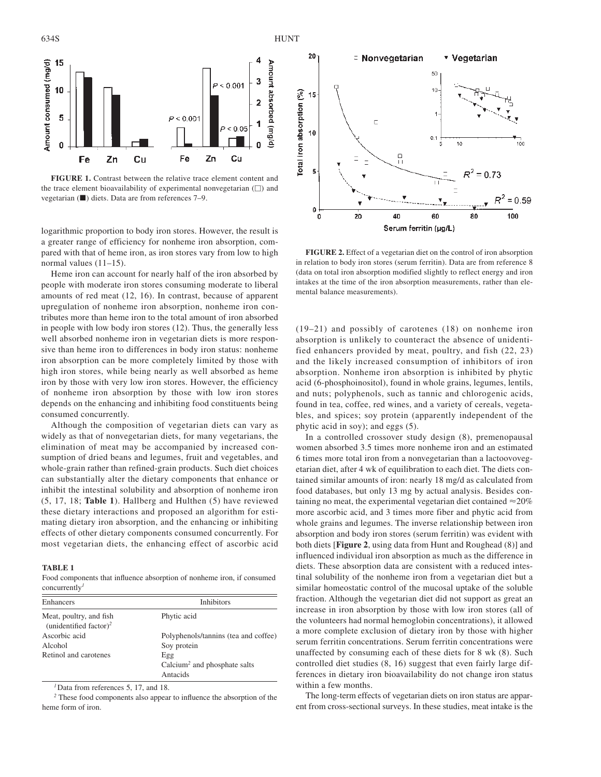

**FIGURE 1.** Contrast between the relative trace element content and the trace element bioavailability of experimental nonvegetarian  $(\square)$  and vegetarian  $(\blacksquare)$  diets. Data are from references 7–9.

logarithmic proportion to body iron stores. However, the result is a greater range of efficiency for nonheme iron absorption, compared with that of heme iron, as iron stores vary from low to high normal values (11–15).

Heme iron can account for nearly half of the iron absorbed by people with moderate iron stores consuming moderate to liberal amounts of red meat (12, 16). In contrast, because of apparent upregulation of nonheme iron absorption, nonheme iron contributes more than heme iron to the total amount of iron absorbed in people with low body iron stores (12). Thus, the generally less well absorbed nonheme iron in vegetarian diets is more responsive than heme iron to differences in body iron status: nonheme iron absorption can be more completely limited by those with high iron stores, while being nearly as well absorbed as heme iron by those with very low iron stores. However, the efficiency of nonheme iron absorption by those with low iron stores depends on the enhancing and inhibiting food constituents being consumed concurrently.

Although the composition of vegetarian diets can vary as widely as that of nonvegetarian diets, for many vegetarians, the elimination of meat may be accompanied by increased consumption of dried beans and legumes, fruit and vegetables, and whole-grain rather than refined-grain products. Such diet choices can substantially alter the dietary components that enhance or inhibit the intestinal solubility and absorption of nonheme iron (5, 17, 18; **Table 1**). Hallberg and Hulthen (5) have reviewed these dietary interactions and proposed an algorithm for estimating dietary iron absorption, and the enhancing or inhibiting effects of other dietary components consumed concurrently. For most vegetarian diets, the enhancing effect of ascorbic acid

#### **TABLE 1**

Food components that influence absorption of nonheme iron, if consumed concurrently*<sup>1</sup>*

| Enhancers                                                     | <b>Inhibitors</b>                        |  |
|---------------------------------------------------------------|------------------------------------------|--|
| Meat, poultry, and fish<br>(unidentified factor) <sup>2</sup> | Phytic acid                              |  |
| Ascorbic acid                                                 | Polyphenols/tannins (tea and coffee)     |  |
| Alcohol                                                       | Soy protein                              |  |
| Retinol and carotenes                                         | Egg                                      |  |
|                                                               | Calcium <sup>2</sup> and phosphate salts |  |
|                                                               | Antacids                                 |  |

*<sup>1</sup>*Data from references 5, 17, and 18.

*<sup>2</sup>* These food components also appear to influence the absorption of the heme form of iron.



**FIGURE 2.** Effect of a vegetarian diet on the control of iron absorption in relation to body iron stores (serum ferritin). Data are from reference 8 (data on total iron absorption modified slightly to reflect energy and iron intakes at the time of the iron absorption measurements, rather than elemental balance measurements).

(19–21) and possibly of carotenes (18) on nonheme iron absorption is unlikely to counteract the absence of unidentified enhancers provided by meat, poultry, and fish (22, 23) and the likely increased consumption of inhibitors of iron absorption. Nonheme iron absorption is inhibited by phytic acid (6-phosphoinositol), found in whole grains, legumes, lentils, and nuts; polyphenols, such as tannic and chlorogenic acids, found in tea, coffee, red wines, and a variety of cereals, vegetables, and spices; soy protein (apparently independent of the phytic acid in soy); and eggs (5).

In a controlled crossover study design (8), premenopausal women absorbed 3.5 times more nonheme iron and an estimated 6 times more total iron from a nonvegetarian than a lactoovovegetarian diet, after 4 wk of equilibration to each diet. The diets contained similar amounts of iron: nearly 18 mg/d as calculated from food databases, but only 13 mg by actual analysis. Besides containing no meat, the experimental vegetarian diet contained  $\approx$  20% more ascorbic acid, and 3 times more fiber and phytic acid from whole grains and legumes. The inverse relationship between iron absorption and body iron stores (serum ferritin) was evident with both diets [**Figure 2**, using data from Hunt and Roughead (8)] and influenced individual iron absorption as much as the difference in diets. These absorption data are consistent with a reduced intestinal solubility of the nonheme iron from a vegetarian diet but a similar homeostatic control of the mucosal uptake of the soluble fraction. Although the vegetarian diet did not support as great an increase in iron absorption by those with low iron stores (all of the volunteers had normal hemoglobin concentrations), it allowed a more complete exclusion of dietary iron by those with higher serum ferritin concentrations. Serum ferritin concentrations were unaffected by consuming each of these diets for 8 wk (8). Such controlled diet studies (8, 16) suggest that even fairly large differences in dietary iron bioavailability do not change iron status within a few months.

The long-term effects of vegetarian diets on iron status are apparent from cross-sectional surveys. In these studies, meat intake is the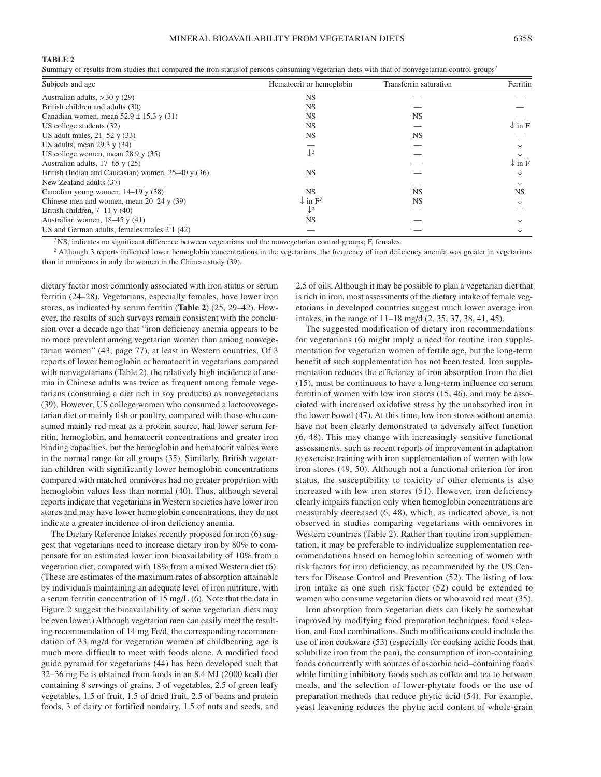#### **TABLE 2**

Summary of results from studies that compared the iron status of persons consuming vegetarian diets with that of nonvegetarian control groups*<sup>1</sup>*

| Subjects and age                                   | Hematocrit or hemoglobin       | Transferrin saturation | Ferritin          |
|----------------------------------------------------|--------------------------------|------------------------|-------------------|
| Australian adults, $>$ 30 y (29)                   | <b>NS</b>                      |                        |                   |
| British children and adults (30)                   | NS.                            |                        |                   |
| Canadian women, mean $52.9 \pm 15.3$ y (31)        | <b>NS</b>                      | NS.                    |                   |
| US college students $(32)$                         | NS.                            |                        | $\downarrow$ in F |
| US adult males, $21-52$ y (33)                     | <b>NS</b>                      | <b>NS</b>              |                   |
| US adults, mean $29.3$ y $(34)$                    |                                |                        |                   |
| US college women, mean $28.9$ y $(35)$             | $\downarrow$ <sup>2</sup>      |                        |                   |
| Australian adults, $17-65$ y $(25)$                |                                |                        | $\downarrow$ in F |
| British (Indian and Caucasian) women, $25-40y(36)$ | <b>NS</b>                      |                        |                   |
| New Zealand adults (37)                            |                                |                        |                   |
| Canadian young women, $14-19$ y (38)               | <b>NS</b>                      | <b>NS</b>              | <b>NS</b>         |
| Chinese men and women, mean $20-24$ y (39)         | $\downarrow$ in $\mathrm{F}^2$ | <b>NS</b>              |                   |
| British children, $7-11$ y (40)                    |                                |                        |                   |
| Australian women, $18-45$ y (41)                   | <b>NS</b>                      |                        |                   |
| US and German adults, females: males 2:1 (42)      |                                |                        |                   |

<sup>1</sup>NS, indicates no significant difference between vegetarians and the nonvegetarian control groups; F, females.

<sup>2</sup> Although 3 reports indicated lower hemoglobin concentrations in the vegetarians, the frequency of iron deficiency anemia was greater in vegetarians than in omnivores in only the women in the Chinese study (39).

dietary factor most commonly associated with iron status or serum ferritin (24–28). Vegetarians, especially females, have lower iron stores, as indicated by serum ferritin (**Table 2**) (25, 29–42). However, the results of such surveys remain consistent with the conclusion over a decade ago that "iron deficiency anemia appears to be no more prevalent among vegetarian women than among nonvegetarian women" (43, page 77), at least in Western countries. Of 3 reports of lower hemoglobin or hematocrit in vegetarians compared with nonvegetarians (Table 2), the relatively high incidence of anemia in Chinese adults was twice as frequent among female vegetarians (consuming a diet rich in soy products) as nonvegetarians (39). However, US college women who consumed a lactoovovegetarian diet or mainly fish or poultry, compared with those who consumed mainly red meat as a protein source, had lower serum ferritin, hemoglobin, and hematocrit concentrations and greater iron binding capacities, but the hemoglobin and hematocrit values were in the normal range for all groups (35). Similarly, British vegetarian children with significantly lower hemoglobin concentrations compared with matched omnivores had no greater proportion with hemoglobin values less than normal (40). Thus, although several reports indicate that vegetarians in Western societies have lower iron stores and may have lower hemoglobin concentrations, they do not indicate a greater incidence of iron deficiency anemia.

The Dietary Reference Intakes recently proposed for iron (6) suggest that vegetarians need to increase dietary iron by 80% to compensate for an estimated lower iron bioavailability of 10% from a vegetarian diet, compared with 18% from a mixed Western diet (6). (These are estimates of the maximum rates of absorption attainable by individuals maintaining an adequate level of iron nutriture, with a serum ferritin concentration of 15 mg/L (6). Note that the data in Figure 2 suggest the bioavailability of some vegetarian diets may be even lower.) Although vegetarian men can easily meet the resulting recommendation of 14 mg Fe/d, the corresponding recommendation of 33 mg/d for vegetarian women of childbearing age is much more difficult to meet with foods alone. A modified food guide pyramid for vegetarians (44) has been developed such that 32–36 mg Fe is obtained from foods in an 8.4 MJ (2000 kcal) diet containing 8 servings of grains, 3 of vegetables, 2.5 of green leafy vegetables, 1.5 of fruit, 1.5 of dried fruit, 2.5 of beans and protein foods, 3 of dairy or fortified nondairy, 1.5 of nuts and seeds, and 2.5 of oils. Although it may be possible to plan a vegetarian diet that is rich in iron, most assessments of the dietary intake of female vegetarians in developed countries suggest much lower average iron intakes, in the range of 11–18 mg/d (2, 35, 37, 38, 41, 45).

The suggested modification of dietary iron recommendations for vegetarians (6) might imply a need for routine iron supplementation for vegetarian women of fertile age, but the long-term benefit of such supplementation has not been tested. Iron supplementation reduces the efficiency of iron absorption from the diet (15), must be continuous to have a long-term influence on serum ferritin of women with low iron stores (15, 46), and may be associated with increased oxidative stress by the unabsorbed iron in the lower bowel (47). At this time, low iron stores without anemia have not been clearly demonstrated to adversely affect function (6, 48). This may change with increasingly sensitive functional assessments, such as recent reports of improvement in adaptation to exercise training with iron supplementation of women with low iron stores (49, 50). Although not a functional criterion for iron status, the susceptibility to toxicity of other elements is also increased with low iron stores (51). However, iron deficiency clearly impairs function only when hemoglobin concentrations are measurably decreased (6, 48), which, as indicated above, is not observed in studies comparing vegetarians with omnivores in Western countries (Table 2). Rather than routine iron supplementation, it may be preferable to individualize supplementation recommendations based on hemoglobin screening of women with risk factors for iron deficiency, as recommended by the US Centers for Disease Control and Prevention (52). The listing of low iron intake as one such risk factor (52) could be extended to women who consume vegetarian diets or who avoid red meat (35).

Iron absorption from vegetarian diets can likely be somewhat improved by modifying food preparation techniques, food selection, and food combinations. Such modifications could include the use of iron cookware (53) (especially for cooking acidic foods that solubilize iron from the pan), the consumption of iron-containing foods concurrently with sources of ascorbic acid–containing foods while limiting inhibitory foods such as coffee and tea to between meals, and the selection of lower-phytate foods or the use of preparation methods that reduce phytic acid (54). For example, yeast leavening reduces the phytic acid content of whole-grain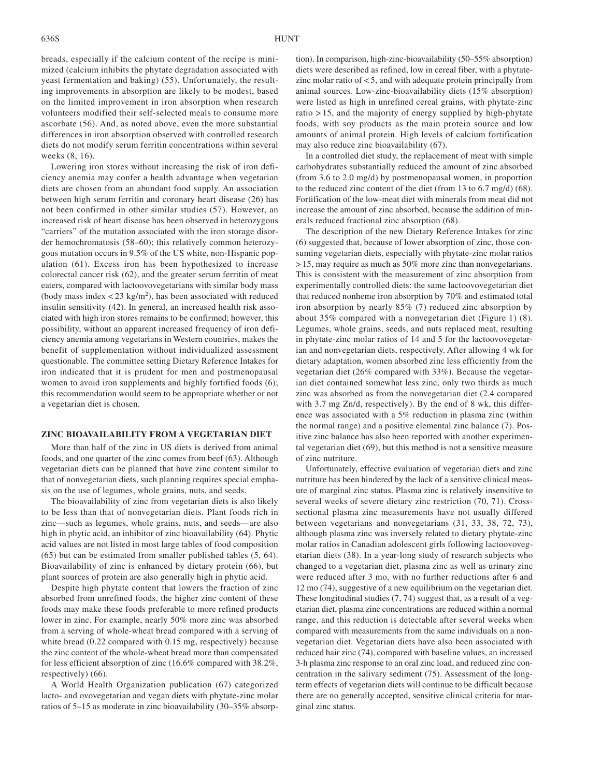breads, especially if the calcium content of the recipe is minimized (calcium inhibits the phytate degradation associated with yeast fermentation and baking) (55). Unfortunately, the resulting improvements in absorption are likely to be modest, based on the limited improvement in iron absorption when research volunteers modified their self-selected meals to consume more ascorbate (56). And, as noted above, even the more substantial differences in iron absorption observed with controlled research diets do not modify serum ferritin concentrations within several weeks (8, 16).

Lowering iron stores without increasing the risk of iron deficiency anemia may confer a health advantage when vegetarian diets are chosen from an abundant food supply. An association between high serum ferritin and coronary heart disease (26) has not been confirmed in other similar studies (57). However, an increased risk of heart disease has been observed in heterozygous "carriers" of the mutation associated with the iron storage disorder hemochromatosis (58–60); this relatively common heterozygous mutation occurs in 9.5% of the US white, non-Hispanic population (61). Excess iron has been hypothesized to increase colorectal cancer risk (62), and the greater serum ferritin of meat eaters, compared with lactoovovegetarians with similar body mass (body mass index  $\langle 23 \text{ kg/m}^2 \rangle$ , has been associated with reduced insulin sensitivity (42). In general, an increased health risk associated with high iron stores remains to be confirmed; however, this possibility, without an apparent increased frequency of iron deficiency anemia among vegetarians in Western countries, makes the benefit of supplementation without individualized assessment questionable. The committee setting Dietary Reference Intakes for iron indicated that it is prudent for men and postmenopausal women to avoid iron supplements and highly fortified foods (6); this recommendation would seem to be appropriate whether or not a vegetarian diet is chosen.

#### **ZINC BIOAVAILABILITY FROM A VEGETARIAN DIET**

More than half of the zinc in US diets is derived from animal foods, and one quarter of the zinc comes from beef (63). Although vegetarian diets can be planned that have zinc content similar to that of nonvegetarian diets, such planning requires special emphasis on the use of legumes, whole grains, nuts, and seeds.

The bioavailability of zinc from vegetarian diets is also likely to be less than that of nonvegetarian diets. Plant foods rich in zinc—such as legumes, whole grains, nuts, and seeds—are also high in phytic acid, an inhibitor of zinc bioavailability (64). Phytic acid values are not listed in most large tables of food composition (65) but can be estimated from smaller published tables (5, 64). Bioavailability of zinc is enhanced by dietary protein (66), but plant sources of protein are also generally high in phytic acid.

Despite high phytate content that lowers the fraction of zinc absorbed from unrefined foods, the higher zinc content of these foods may make these foods preferable to more refined products lower in zinc. For example, nearly 50% more zinc was absorbed from a serving of whole-wheat bread compared with a serving of white bread (0.22 compared with 0.15 mg, respectively) because the zinc content of the whole-wheat bread more than compensated for less efficient absorption of zinc (16.6% compared with 38.2%, respectively) (66).

A World Health Organization publication (67) categorized lacto- and ovovegetarian and vegan diets with phytate-zinc molar ratios of 5–15 as moderate in zinc bioavailability (30–35% absorp-

tion). In comparison, high-zinc-bioavailability (50–55% absorption) diets were described as refined, low in cereal fiber, with a phytatezinc molar ratio of < 5, and with adequate protein principally from animal sources. Low-zinc-bioavailability diets (15% absorption) were listed as high in unrefined cereal grains, with phytate-zinc ratio > 15, and the majority of energy supplied by high-phytate foods, with soy products as the main protein source and low amounts of animal protein. High levels of calcium fortification may also reduce zinc bioavailability (67).

In a controlled diet study, the replacement of meat with simple carbohydrates substantially reduced the amount of zinc absorbed (from 3.6 to 2.0 mg/d) by postmenopausal women, in proportion to the reduced zinc content of the diet (from 13 to 6.7 mg/d) (68). Fortification of the low-meat diet with minerals from meat did not increase the amount of zinc absorbed, because the addition of minerals reduced fractional zinc absorption (68).

The description of the new Dietary Reference Intakes for zinc (6) suggested that, because of lower absorption of zinc, those consuming vegetarian diets, especially with phytate-zinc molar ratios > 15, may require as much as 50% more zinc than nonvegetarians. This is consistent with the measurement of zinc absorption from experimentally controlled diets: the same lactoovovegetarian diet that reduced nonheme iron absorption by 70% and estimated total iron absorption by nearly 85% (7) reduced zinc absorption by about 35% compared with a nonvegetarian diet (Figure 1) (8). Legumes, whole grains, seeds, and nuts replaced meat, resulting in phytate-zinc molar ratios of 14 and 5 for the lactoovovegetarian and nonvegetarian diets, respectively. After allowing 4 wk for dietary adaptation, women absorbed zinc less efficiently from the vegetarian diet (26% compared with 33%). Because the vegetarian diet contained somewhat less zinc, only two thirds as much zinc was absorbed as from the nonvegetarian diet (2.4 compared with 3.7 mg Zn/d, respectively). By the end of 8 wk, this difference was associated with a 5% reduction in plasma zinc (within the normal range) and a positive elemental zinc balance (7). Positive zinc balance has also been reported with another experimental vegetarian diet (69), but this method is not a sensitive measure of zinc nutriture.

Unfortunately, effective evaluation of vegetarian diets and zinc nutriture has been hindered by the lack of a sensitive clinical measure of marginal zinc status. Plasma zinc is relatively insensitive to several weeks of severe dietary zinc restriction (70, 71). Crosssectional plasma zinc measurements have not usually differed between vegetarians and nonvegetarians (31, 33, 38, 72, 73), although plasma zinc was inversely related to dietary phytate-zinc molar ratios in Canadian adolescent girls following lactoovovegetarian diets (38). In a year-long study of research subjects who changed to a vegetarian diet, plasma zinc as well as urinary zinc were reduced after 3 mo, with no further reductions after 6 and 12 mo (74), suggestive of a new equilibrium on the vegetarian diet. These longitudinal studies (7, 74) suggest that, as a result of a vegetarian diet, plasma zinc concentrations are reduced within a normal range, and this reduction is detectable after several weeks when compared with measurements from the same individuals on a nonvegetarian diet. Vegetarian diets have also been associated with reduced hair zinc (74), compared with baseline values, an increased 3-h plasma zinc response to an oral zinc load, and reduced zinc concentration in the salivary sediment (75). Assessment of the longterm effects of vegetarian diets will continue to be difficult because there are no generally accepted, sensitive clinical criteria for marginal zinc status.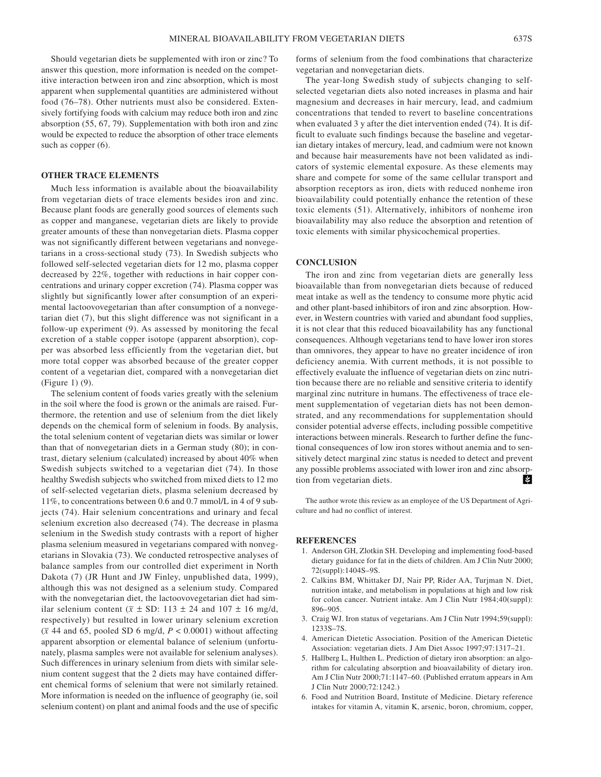Should vegetarian diets be supplemented with iron or zinc? To answer this question, more information is needed on the competitive interaction between iron and zinc absorption, which is most apparent when supplemental quantities are administered without food (76–78). Other nutrients must also be considered. Extensively fortifying foods with calcium may reduce both iron and zinc absorption (55, 67, 79). Supplementation with both iron and zinc would be expected to reduce the absorption of other trace elements such as copper  $(6)$ .

#### **OTHER TRACE ELEMENTS**

Much less information is available about the bioavailability from vegetarian diets of trace elements besides iron and zinc. Because plant foods are generally good sources of elements such as copper and manganese, vegetarian diets are likely to provide greater amounts of these than nonvegetarian diets. Plasma copper was not significantly different between vegetarians and nonvegetarians in a cross-sectional study (73). In Swedish subjects who followed self-selected vegetarian diets for 12 mo, plasma copper decreased by 22%, together with reductions in hair copper concentrations and urinary copper excretion (74). Plasma copper was slightly but significantly lower after consumption of an experimental lactoovovegetarian than after consumption of a nonvegetarian diet (7), but this slight difference was not significant in a follow-up experiment (9). As assessed by monitoring the fecal excretion of a stable copper isotope (apparent absorption), copper was absorbed less efficiently from the vegetarian diet, but more total copper was absorbed because of the greater copper content of a vegetarian diet, compared with a nonvegetarian diet (Figure 1) (9).

The selenium content of foods varies greatly with the selenium in the soil where the food is grown or the animals are raised. Furthermore, the retention and use of selenium from the diet likely depends on the chemical form of selenium in foods. By analysis, the total selenium content of vegetarian diets was similar or lower than that of nonvegetarian diets in a German study (80); in contrast, dietary selenium (calculated) increased by about 40% when Swedish subjects switched to a vegetarian diet (74). In those healthy Swedish subjects who switched from mixed diets to 12 mo of self-selected vegetarian diets, plasma selenium decreased by 11%, to concentrations between 0.6 and 0.7 mmol/L in 4 of 9 subjects (74). Hair selenium concentrations and urinary and fecal selenium excretion also decreased (74). The decrease in plasma selenium in the Swedish study contrasts with a report of higher plasma selenium measured in vegetarians compared with nonvegetarians in Slovakia (73). We conducted retrospective analyses of balance samples from our controlled diet experiment in North Dakota (7) (JR Hunt and JW Finley, unpublished data, 1999), although this was not designed as a selenium study. Compared with the nonvegetarian diet, the lactoovovegetarian diet had similar selenium content ( $\overline{x} \pm SD$ : 113  $\pm$  24 and 107  $\pm$  16 mg/d, respectively) but resulted in lower urinary selenium excretion  $(\bar{x}$  44 and 65, pooled SD 6 mg/d,  $P < 0.0001$ ) without affecting apparent absorption or elemental balance of selenium (unfortunately, plasma samples were not available for selenium analyses). Such differences in urinary selenium from diets with similar selenium content suggest that the 2 diets may have contained different chemical forms of selenium that were not similarly retained. More information is needed on the influence of geography (ie, soil selenium content) on plant and animal foods and the use of specific

forms of selenium from the food combinations that characterize vegetarian and nonvegetarian diets.

The year-long Swedish study of subjects changing to selfselected vegetarian diets also noted increases in plasma and hair magnesium and decreases in hair mercury, lead, and cadmium concentrations that tended to revert to baseline concentrations when evaluated 3 y after the diet intervention ended (74). It is difficult to evaluate such findings because the baseline and vegetarian dietary intakes of mercury, lead, and cadmium were not known and because hair measurements have not been validated as indicators of systemic elemental exposure. As these elements may share and compete for some of the same cellular transport and absorption receptors as iron, diets with reduced nonheme iron bioavailability could potentially enhance the retention of these toxic elements (51). Alternatively, inhibitors of nonheme iron bioavailability may also reduce the absorption and retention of toxic elements with similar physicochemical properties.

## **CONCLUSION**

The iron and zinc from vegetarian diets are generally less bioavailable than from nonvegetarian diets because of reduced meat intake as well as the tendency to consume more phytic acid and other plant-based inhibitors of iron and zinc absorption. However, in Western countries with varied and abundant food supplies, it is not clear that this reduced bioavailability has any functional consequences. Although vegetarians tend to have lower iron stores than omnivores, they appear to have no greater incidence of iron deficiency anemia. With current methods, it is not possible to effectively evaluate the influence of vegetarian diets on zinc nutrition because there are no reliable and sensitive criteria to identify marginal zinc nutriture in humans. The effectiveness of trace element supplementation of vegetarian diets has not been demonstrated, and any recommendations for supplementation should consider potential adverse effects, including possible competitive interactions between minerals. Research to further define the functional consequences of low iron stores without anemia and to sensitively detect marginal zinc status is needed to detect and prevent any possible problems associated with lower iron and zinc absorpk≵. tion from vegetarian diets.

The author wrote this review as an employee of the US Department of Agriculture and had no conflict of interest.

#### **REFERENCES**

- 1. Anderson GH, Zlotkin SH. Developing and implementing food-based dietary guidance for fat in the diets of children. Am J Clin Nutr 2000; 72(suppl):1404S–9S.
- 2. Calkins BM, Whittaker DJ, Nair PP, Rider AA, Turjman N. Diet, nutrition intake, and metabolism in populations at high and low risk for colon cancer. Nutrient intake. Am J Clin Nutr 1984;40(suppl): 896–905.
- 3. Craig WJ. Iron status of vegetarians. Am J Clin Nutr 1994;59(suppl): 1233S–7S.
- 4. American Dietetic Association. Position of the American Dietetic Association: vegetarian diets. J Am Diet Assoc 1997;97:1317–21.
- 5. Hallberg L, Hulthen L. Prediction of dietary iron absorption: an algorithm for calculating absorption and bioavailability of dietary iron. Am J Clin Nutr 2000;71:1147–60. (Published erratum appears in Am J Clin Nutr 2000;72:1242.)
- 6. Food and Nutrition Board, Institute of Medicine. Dietary reference intakes for vitamin A, vitamin K, arsenic, boron, chromium, copper,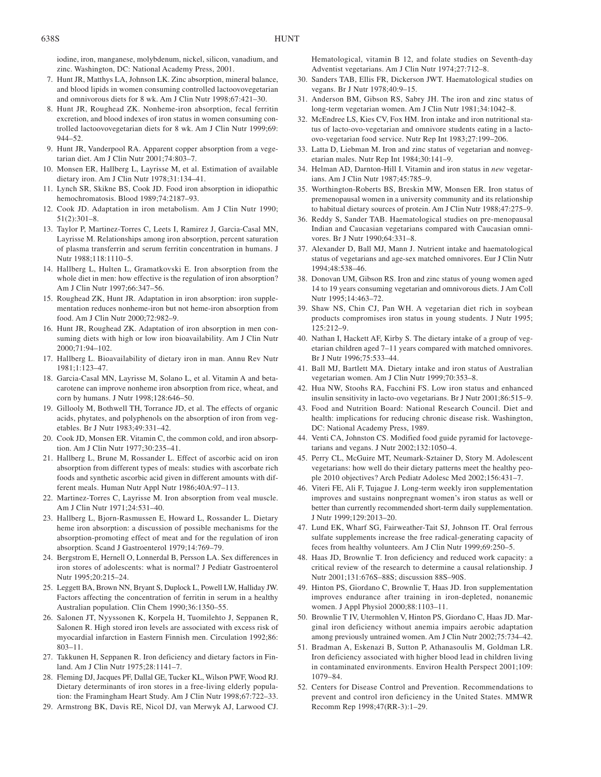iodine, iron, manganese, molybdenum, nickel, silicon, vanadium, and zinc. Washington, DC: National Academy Press, 2001.

- 7. Hunt JR, Matthys LA, Johnson LK. Zinc absorption, mineral balance, and blood lipids in women consuming controlled lactoovovegetarian and omnivorous diets for 8 wk. Am J Clin Nutr 1998;67:421–30.
- 8. Hunt JR, Roughead ZK. Nonheme-iron absorption, fecal ferritin excretion, and blood indexes of iron status in women consuming controlled lactoovovegetarian diets for 8 wk. Am J Clin Nutr 1999;69: 944–52.
- 9. Hunt JR, Vanderpool RA. Apparent copper absorption from a vegetarian diet. Am J Clin Nutr 2001;74:803–7.
- 10. Monsen ER, Hallberg L, Layrisse M, et al. Estimation of available dietary iron. Am J Clin Nutr 1978;31:134–41.
- 11. Lynch SR, Skikne BS, Cook JD. Food iron absorption in idiopathic hemochromatosis. Blood 1989;74:2187–93.
- 12. Cook JD. Adaptation in iron metabolism. Am J Clin Nutr 1990; 51(2):301–8.
- 13. Taylor P, Martinez-Torres C, Leets I, Ramirez J, Garcia-Casal MN, Layrisse M. Relationships among iron absorption, percent saturation of plasma transferrin and serum ferritin concentration in humans. J Nutr 1988;118:1110–5.
- 14. Hallberg L, Hulten L, Gramatkovski E. Iron absorption from the whole diet in men: how effective is the regulation of iron absorption? Am J Clin Nutr 1997;66:347–56.
- 15. Roughead ZK, Hunt JR. Adaptation in iron absorption: iron supplementation reduces nonheme-iron but not heme-iron absorption from food. Am J Clin Nutr 2000;72:982–9.
- 16. Hunt JR, Roughead ZK. Adaptation of iron absorption in men consuming diets with high or low iron bioavailability. Am J Clin Nutr 2000;71:94–102.
- 17. Hallberg L. Bioavailability of dietary iron in man. Annu Rev Nutr 1981;1:123–47.
- 18. Garcia-Casal MN, Layrisse M, Solano L, et al. Vitamin A and betacarotene can improve nonheme iron absorption from rice, wheat, and corn by humans. J Nutr 1998;128:646–50.
- 19. Gillooly M, Bothwell TH, Torrance JD, et al. The effects of organic acids, phytates, and polyphenols on the absorption of iron from vegetables. Br J Nutr 1983;49:331–42.
- 20. Cook JD, Monsen ER. Vitamin C, the common cold, and iron absorption. Am J Clin Nutr 1977;30:235–41.
- 21. Hallberg L, Brune M, Rossander L. Effect of ascorbic acid on iron absorption from different types of meals: studies with ascorbate rich foods and synthetic ascorbic acid given in different amounts with different meals. Human Nutr Appl Nutr 1986;40A:97–113.
- 22. Martinez-Torres C, Layrisse M. Iron absorption from veal muscle. Am J Clin Nutr 1971;24:531–40.
- 23. Hallberg L, Bjorn-Rasmussen E, Howard L, Rossander L. Dietary heme iron absorption: a discussion of possible mechanisms for the absorption-promoting effect of meat and for the regulation of iron absorption. Scand J Gastroenterol 1979;14:769–79.
- 24. Bergstrom E, Hernell O, Lonnerdal B, Persson LA. Sex differences in iron stores of adolescents: what is normal? J Pediatr Gastroenterol Nutr 1995;20:215–24.
- 25. Leggett BA, Brown NN, Bryant S, Duplock L, Powell LW, Halliday JW. Factors affecting the concentration of ferritin in serum in a healthy Australian population. Clin Chem 1990;36:1350–55.
- 26. Salonen JT, Nyyssonen K, Korpela H, Tuomilehto J, Seppanen R, Salonen R. High stored iron levels are associated with excess risk of myocardial infarction in Eastern Finnish men. Circulation 1992;86: 803–11.
- 27. Takkunen H, Seppanen R. Iron deficiency and dietary factors in Finland. Am J Clin Nutr 1975;28:1141–7.
- 28. Fleming DJ, Jacques PF, Dallal GE, Tucker KL, Wilson PWF, Wood RJ. Dietary determinants of iron stores in a free-living elderly population: the Framingham Heart Study. Am J Clin Nutr 1998;67:722–33.
- 29. Armstrong BK, Davis RE, Nicol DJ, van Merwyk AJ, Larwood CJ.

Hematological, vitamin B 12, and folate studies on Seventh-day Adventist vegetarians. Am J Clin Nutr 1974;27:712–8.

- 30. Sanders TAB, Ellis FR, Dickerson JWT. Haematological studies on vegans. Br J Nutr 1978;40:9–15.
- 31. Anderson BM, Gibson RS, Sabry JH. The iron and zinc status of long-term vegetarian women. Am J Clin Nutr 1981;34:1042–8.
- 32. McEndree LS, Kies CV, Fox HM. Iron intake and iron nutritional status of lacto-ovo-vegetarian and omnivore students eating in a lactoovo-vegetarian food service. Nutr Rep Int 1983;27:199–206.
- 33. Latta D, Liebman M. Iron and zinc status of vegetarian and nonvegetarian males. Nutr Rep Int 1984;30:141–9.
- 34. Helman AD, Darnton-Hill I. Vitamin and iron status in *new* vegetarians. Am J Clin Nutr 1987;45:785–9.
- 35. Worthington-Roberts BS, Breskin MW, Monsen ER. Iron status of premenopausal women in a university community and its relationship to habitual dietary sources of protein. Am J Clin Nutr 1988;47:275–9.
- 36. Reddy S, Sander TAB. Haematological studies on pre-menopausal Indian and Caucasian vegetarians compared with Caucasian omnivores. Br J Nutr 1990;64:331–8.
- 37. Alexander D, Ball MJ, Mann J. Nutrient intake and haematological status of vegetarians and age-sex matched omnivores. Eur J Clin Nutr 1994;48:538–46.
- 38. Donovan UM, Gibson RS. Iron and zinc status of young women aged 14 to 19 years consuming vegetarian and omnivorous diets. J Am Coll Nutr 1995;14:463–72.
- 39. Shaw NS, Chin CJ, Pan WH. A vegetarian diet rich in soybean products compromises iron status in young students. J Nutr 1995; 125:212–9.
- 40. Nathan I, Hackett AF, Kirby S. The dietary intake of a group of vegetarian children aged 7–11 years compared with matched omnivores. Br J Nutr 1996;75:533–44.
- 41. Ball MJ, Bartlett MA. Dietary intake and iron status of Australian vegetarian women. Am J Clin Nutr 1999;70:353–8.
- 42. Hua NW, Stoohs RA, Facchini FS. Low iron status and enhanced insulin sensitivity in lacto-ovo vegetarians. Br J Nutr 2001;86:515–9.
- 43. Food and Nutrition Board: National Research Council. Diet and health: implications for reducing chronic disease risk. Washington, DC: National Academy Press, 1989.
- 44. Venti CA, Johnston CS. Modified food guide pyramid for lactovegetarians and vegans. J Nutr 2002;132:1050–4.
- 45. Perry CL, McGuire MT, Neumark-Sztainer D, Story M. Adolescent vegetarians: how well do their dietary patterns meet the healthy people 2010 objectives? Arch Pediatr Adolesc Med 2002;156:431–7.
- 46. Viteri FE, Ali F, Tujague J. Long-term weekly iron supplementation improves and sustains nonpregnant women's iron status as well or better than currently recommended short-term daily supplementation. J Nutr 1999;129:2013–20.
- 47. Lund EK, Wharf SG, Fairweather-Tait SJ, Johnson IT. Oral ferrous sulfate supplements increase the free radical-generating capacity of feces from healthy volunteers. Am J Clin Nutr 1999;69:250–5.
- 48. Haas JD, Brownlie T. Iron deficiency and reduced work capacity: a critical review of the research to determine a causal relationship. J Nutr 2001;131:676S–88S; discussion 88S–90S.
- 49. Hinton PS, Giordano C, Brownlie T, Haas JD. Iron supplementation improves endurance after training in iron-depleted, nonanemic women. J Appl Physiol 2000;88:1103–11.
- 50. Brownlie T IV, Utermohlen V, Hinton PS, Giordano C, Haas JD. Marginal iron deficiency without anemia impairs aerobic adaptation among previously untrained women. Am J Clin Nutr 2002;75:734–42.
- 51. Bradman A, Eskenazi B, Sutton P, Athanasoulis M, Goldman LR. Iron deficiency associated with higher blood lead in children living in contaminated environments. Environ Health Perspect 2001;109: 1079–84.
- 52. Centers for Disease Control and Prevention. Recommendations to prevent and control iron deficiency in the United States. MMWR Recomm Rep 1998;47(RR-3):1–29.